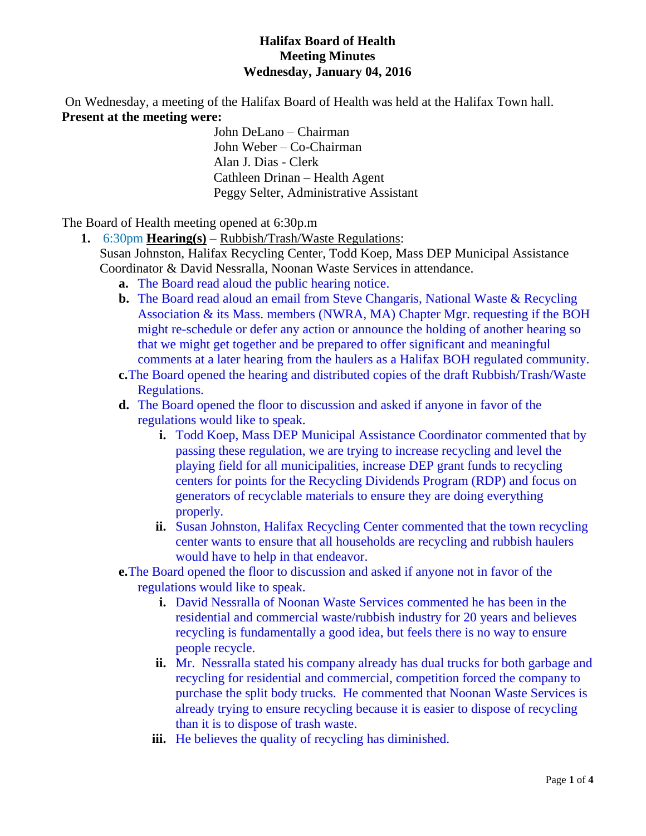### **Halifax Board of Health Meeting Minutes Wednesday, January 04, 2016**

On Wednesday, a meeting of the Halifax Board of Health was held at the Halifax Town hall. **Present at the meeting were:**

> John DeLano – Chairman John Weber – Co-Chairman Alan J. Dias - Clerk Cathleen Drinan – Health Agent Peggy Selter, Administrative Assistant

The Board of Health meeting opened at 6:30p.m

- **1.** 6:30pm **Hearing(s)** Rubbish/Trash/Waste Regulations:
	- Susan Johnston, Halifax Recycling Center, Todd Koep, Mass DEP Municipal Assistance Coordinator & David Nessralla, Noonan Waste Services in attendance.
		- **a.** The Board read aloud the public hearing notice.
		- **b.** The Board read aloud an email from Steve Changaris, National Waste & Recycling Association & its Mass. members (NWRA, MA) Chapter Mgr. requesting if the BOH might re-schedule or defer any action or announce the holding of another hearing so that we might get together and be prepared to offer significant and meaningful comments at a later hearing from the haulers as a Halifax BOH regulated community.
		- **c.**The Board opened the hearing and distributed copies of the draft Rubbish/Trash/Waste Regulations.
		- **d.** The Board opened the floor to discussion and asked if anyone in favor of the regulations would like to speak.
			- **i.** Todd Koep, Mass DEP Municipal Assistance Coordinator commented that by passing these regulation, we are trying to increase recycling and level the playing field for all municipalities, increase DEP grant funds to recycling centers for points for the Recycling Dividends Program (RDP) and focus on generators of recyclable materials to ensure they are doing everything properly.
			- **ii.** Susan Johnston, Halifax Recycling Center commented that the town recycling center wants to ensure that all households are recycling and rubbish haulers would have to help in that endeavor.
		- **e.**The Board opened the floor to discussion and asked if anyone not in favor of the regulations would like to speak.
			- **i.** David Nessralla of Noonan Waste Services commented he has been in the residential and commercial waste/rubbish industry for 20 years and believes recycling is fundamentally a good idea, but feels there is no way to ensure people recycle.
			- **ii.** Mr. Nessralla stated his company already has dual trucks for both garbage and recycling for residential and commercial, competition forced the company to purchase the split body trucks. He commented that Noonan Waste Services is already trying to ensure recycling because it is easier to dispose of recycling than it is to dispose of trash waste.
			- **iii.** He believes the quality of recycling has diminished.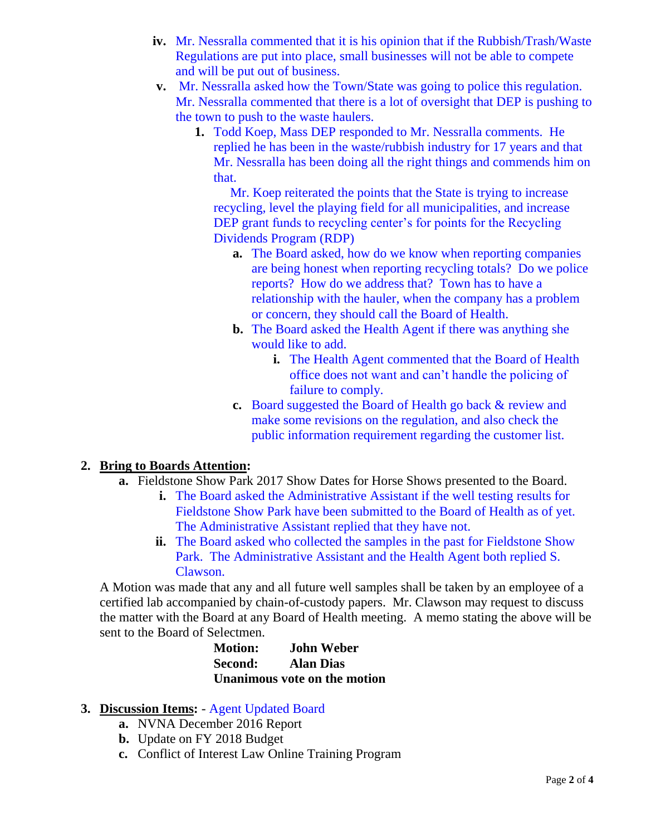- **iv.** Mr. Nessralla commented that it is his opinion that if the Rubbish/Trash/Waste Regulations are put into place, small businesses will not be able to compete and will be put out of business.
- **v.** Mr. Nessralla asked how the Town/State was going to police this regulation. Mr. Nessralla commented that there is a lot of oversight that DEP is pushing to the town to push to the waste haulers.
	- **1.** Todd Koep, Mass DEP responded to Mr. Nessralla comments. He replied he has been in the waste/rubbish industry for 17 years and that Mr. Nessralla has been doing all the right things and commends him on that.

 Mr. Koep reiterated the points that the State is trying to increase recycling, level the playing field for all municipalities, and increase DEP grant funds to recycling center's for points for the Recycling Dividends Program (RDP)

- **a.** The Board asked, how do we know when reporting companies are being honest when reporting recycling totals? Do we police reports? How do we address that? Town has to have a relationship with the hauler, when the company has a problem or concern, they should call the Board of Health.
- **b.** The Board asked the Health Agent if there was anything she would like to add.
	- **i.** The Health Agent commented that the Board of Health office does not want and can't handle the policing of failure to comply.
- **c.** Board suggested the Board of Health go back & review and make some revisions on the regulation, and also check the public information requirement regarding the customer list.

### **2. Bring to Boards Attention:**

- **a.** Fieldstone Show Park 2017 Show Dates for Horse Shows presented to the Board.
	- **i.** The Board asked the Administrative Assistant if the well testing results for Fieldstone Show Park have been submitted to the Board of Health as of yet. The Administrative Assistant replied that they have not.
	- **ii.** The Board asked who collected the samples in the past for Fieldstone Show Park. The Administrative Assistant and the Health Agent both replied S. Clawson.

A Motion was made that any and all future well samples shall be taken by an employee of a certified lab accompanied by chain-of-custody papers. Mr. Clawson may request to discuss the matter with the Board at any Board of Health meeting. A memo stating the above will be sent to the Board of Selectmen.

> **Motion: John Weber Second: Alan Dias Unanimous vote on the motion**

### **3. Discussion Items:** - Agent Updated Board

- **a.** NVNA December 2016 Report
- **b.** Update on FY 2018 Budget
- **c.** Conflict of Interest Law Online Training Program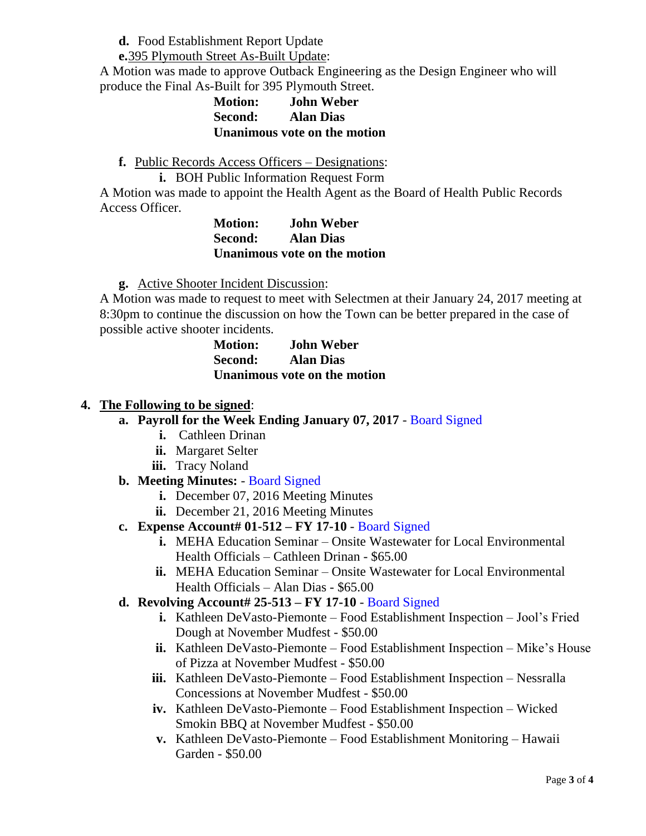**d.** Food Establishment Report Update

**e.**395 Plymouth Street As-Built Update:

A Motion was made to approve Outback Engineering as the Design Engineer who will produce the Final As-Built for 395 Plymouth Street.

## **Motion: John Weber Second: Alan Dias Unanimous vote on the motion**

**f.** Public Records Access Officers – Designations:

**i.** BOH Public Information Request Form

A Motion was made to appoint the Health Agent as the Board of Health Public Records Access Officer.

**Motion: John Weber Second: Alan Dias Unanimous vote on the motion**

**g.** Active Shooter Incident Discussion:

A Motion was made to request to meet with Selectmen at their January 24, 2017 meeting at 8:30pm to continue the discussion on how the Town can be better prepared in the case of possible active shooter incidents.

**Motion: John Weber Second: Alan Dias Unanimous vote on the motion**

## **4. The Following to be signed**:

- **a. Payroll for the Week Ending January 07, 2017** Board Signed
	- **i.** Cathleen Drinan
	- **ii.** Margaret Selter
	- **iii.** Tracy Noland

# **b. Meeting Minutes:** - Board Signed

- **i.** December 07, 2016 Meeting Minutes
- **ii.** December 21, 2016 Meeting Minutes
- **c. Expense Account# 01-512 – FY 17-10** Board Signed
	- **i.** MEHA Education Seminar Onsite Wastewater for Local Environmental Health Officials – Cathleen Drinan - \$65.00
	- **ii.** MEHA Education Seminar Onsite Wastewater for Local Environmental Health Officials – Alan Dias - \$65.00

# **d. Revolving Account# 25-513 – FY 17-10** - Board Signed

- **i.** Kathleen DeVasto-Piemonte Food Establishment Inspection Jool's Fried Dough at November Mudfest - \$50.00
- **ii.** Kathleen DeVasto-Piemonte Food Establishment Inspection Mike's House of Pizza at November Mudfest - \$50.00
- **iii.** Kathleen DeVasto-Piemonte Food Establishment Inspection Nessralla Concessions at November Mudfest - \$50.00
- **iv.** Kathleen DeVasto-Piemonte Food Establishment Inspection Wicked Smokin BBQ at November Mudfest - \$50.00
- **v.** Kathleen DeVasto-Piemonte Food Establishment Monitoring Hawaii Garden - \$50.00